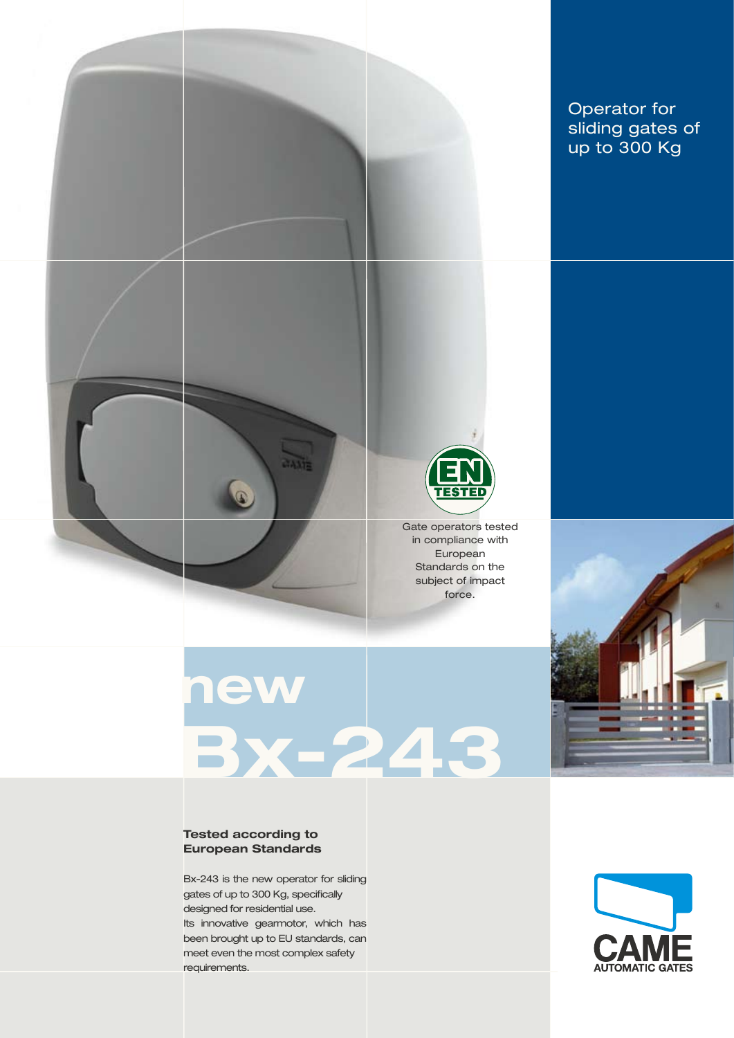

**TAXIE** 

## Operator for sliding gates of up to 300 Kg



Gate operators tested in compliance with European Standards on the subject of impact force.

## **new Bx-243**

#### **Tested according to European Standards**

Bx-243 is the new operator for sliding gates of up to 300 Kg, specifically designed for residential use. Its innovative gearmotor, which has been brought up to EU standards, can meet even the most complex safety requirements.